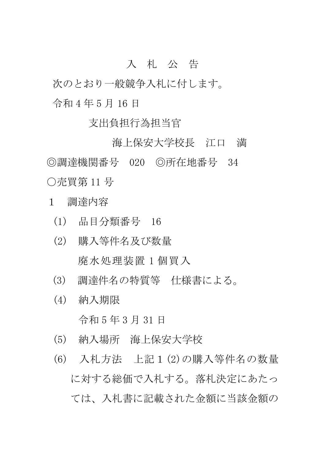## 入 札 公 告

次のとおり一般競争入札に付します。 令和 4 年 5 月 16 日

支出負担行為担当官

海上保安大学校長 江口 満 ◎調達機関番号 020 ◎所在地番号 34 ○売買第 11 号

- 1 調達内容
	- (1) 品目分類番号 16
	- (2) 購入等件名及び数量 廃水処理装置 1 個買入
	- (3) 調達件名の特質等 仕様書による。
	- (4) 納入期限

令和 5 年 3 月 31 日

- (5) 納入場所 海上保安大学校
- (6) 入札方法 上記1(2)の購入等件名の数量 に対する総価で入札する。落札決定にあたっ ては、入札書に記載された金額に当該金額の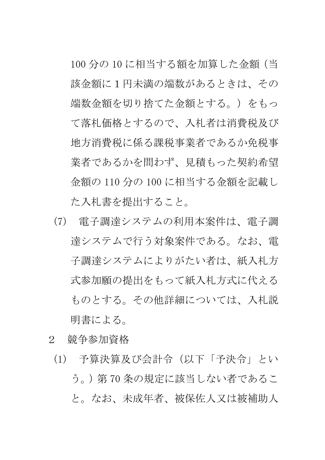100 分の 10 に相当する額を加算した金額(当 該金額に1円未満の端数があるときは、その 端数金額を切り捨てた金額とする。)をもっ て落札価格とするので、入札者は消費税及び 地方消費税に係る課税事業者であるか免税事 業者であるかを問わず、見積もった契約希望 金額の 110 分の 100 に相当する金額を記載し た入札書を提出すること。

- (7) 電子調達システムの利用本案件は、電子調 達システムで行う対象案件である。なお、電 子調達システムによりがたい者は、紙入札方 式参加願の提出をもって紙入札方式に代える ものとする。その他詳細については、入札説 明書による。
- 2 競争参加資格
	- (1) 予算決算及び会計令(以下「予決令」とい う。)第 70 条の規定に該当しない者であるこ と。なお、未成年者、被保佐人又は被補助人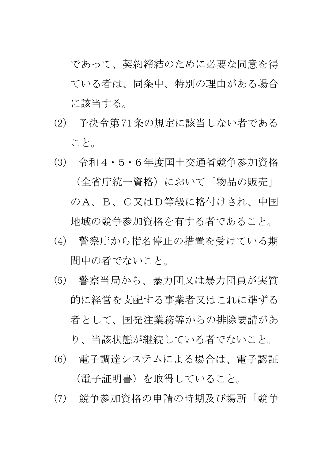であって、契約締結のために必要な同意を得 ている者は、同条中、特別の理由がある場合 に該当する。

- (2) 予決令第71条の規定に該当しない者である こと。
- (3) 令和4・5・6年度国土交通省競争参加資格 (全省庁統一資格)において「物品の販売」 のA、B、C又はD等級に格付けされ、中国 地域の競争参加資格を有する者であること。
- (4) 警察庁から指名停止の措置を受けている期 間中の者でないこと。
- (5) 警察当局から、暴力団又は暴力団員が実質 的に経営を支配する事業者又はこれに準ずる 者として、国発注業務等からの排除要請があ

り、当該状態が継続している者でないこと。

- (6) 電子調達システムによる場合は、電子認証 (電子証明書)を取得していること。
- (7) 競争参加資格の申請の時期及び場所「競争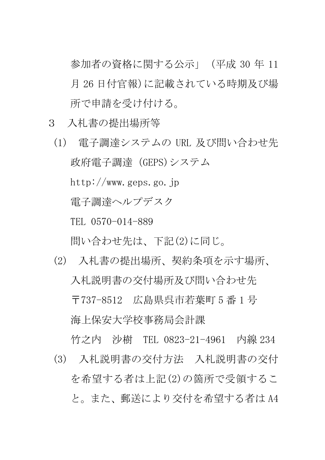参加者の資格に関する公示」(平成 30 年 11 月 26 日付官報)に記載されている時期及び場 所で申請を受け付ける。

- 3 入札書の提出場所等
	- (1) 電子調達システムの URL 及び問い合わせ先 政府電子調達(GEPS)システム http://www.geps.go.jp 電子調達ヘルプデスク TEL 0570-014-889

問い合わせ先は、下記(2)に同じ。

(2) 入札書の提出場所、契約条項を示す場所、 入札説明書の交付場所及び問い合わせ先 〒737-8512 広島県呉市若葉町 5 番 1 号 海上保安大学校事務局会計課

竹之内 沙樹 TEL 0823-21-4961 内線 234 (3) 入札説明書の交付方法 入札説明書の交付 を希望する者は上記(2)の箇所で受領するこ と。また、郵送により交付を希望する者は A4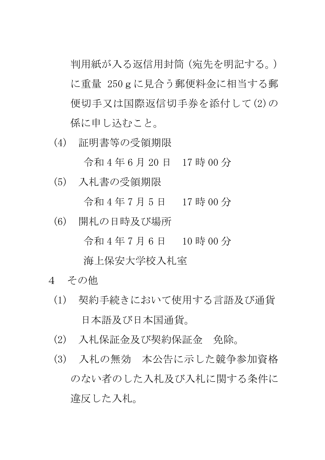判用紙が入る返信用封筒(宛先を明記する。) に重量 250gに見合う郵便料金に相当する郵 便切手又は国際返信切手券を添付して(2)の 係に申し込むこと。

(4) 証明書等の受領期限

令和 4 年 6 月 20 日 17 時 00 分

(5) 入札書の受領期限

令和 4 年 7 月 5 日 17 時 00 分

(6) 開札の日時及び場所

令和 4 年 7 月 6 日 10 時 00 分

海上保安大学校入札室

- 4 その他
	- (1) 契約手続きにおいて使用する言語及び通貨 日本語及び日本国通貨。
	- (2) 入札保証金及び契約保証金 免除。
	- (3) 入札の無効 本公告に示した競争参加資格 のない者のした入札及び入札に関する条件に 違反した入札。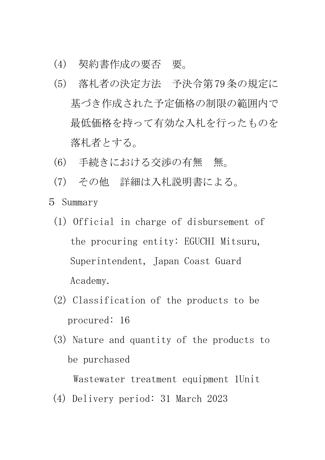- (4) 契約書作成の要否 要。
- (5) 落札者の決定方法 予決令第79条の規定に 基づき作成された予定価格の制限の範囲内で 最低価格を持って有効な入札を行ったものを 落札者とする。
- (6) 手続きにおける交渉の有無 無。
- (7) その他 詳細は入札説明書による。
- 5 Summary
	- (1) Official in charge of disbursement of the procuring entity: EGUCHI Mitsuru, Superintendent, Japan Coast Guard Academy.
	- (2) Classification of the products to be procured: 16
	- (3) Nature and quantity of the products to be purchased

Wastewater treatment equipment 1Unit

(4) Delivery period: 31 March 2023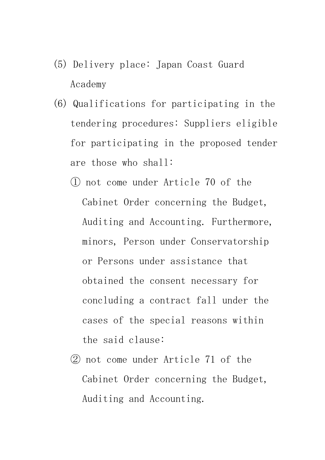- (5) Delivery place: Japan Coast Guard Academy
- (6) Qualifications for participating in the tendering procedures: Suppliers eligible for participating in the proposed tender are those who shall:
	- ① not come under Article 70 of the Cabinet Order concerning the Budget, Auditing and Accounting. Furthermore, minors, Person under Conservatorship or Persons under assistance that obtained the consent necessary for concluding a contract fall under the cases of the special reasons within the said clause:
	- ② not come under Article 71 of the Cabinet Order concerning the Budget, Auditing and Accounting.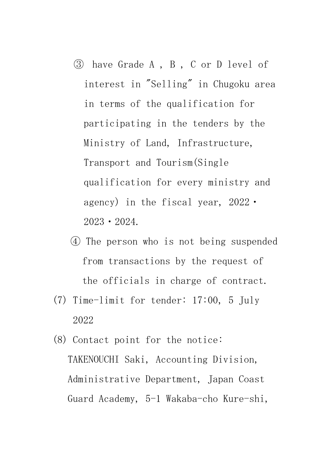- ③ have Grade A , B , C or D level of interest in "Selling" in Chugoku area in terms of the qualification for participating in the tenders by the Ministry of Land, Infrastructure, Transport and Tourism(Single qualification for every ministry and agency) in the fiscal year, 2022・ 2023・2024.
- ④ The person who is not being suspended from transactions by the request of the officials in charge of contract.
- (7) Time-limit for tender: 17:00, 5 July 2022
- (8) Contact point for the notice: TAKENOUCHI Saki, Accounting Division, Administrative Department, Japan Coast Guard Academy, 5-1 Wakaba-cho Kure-shi,